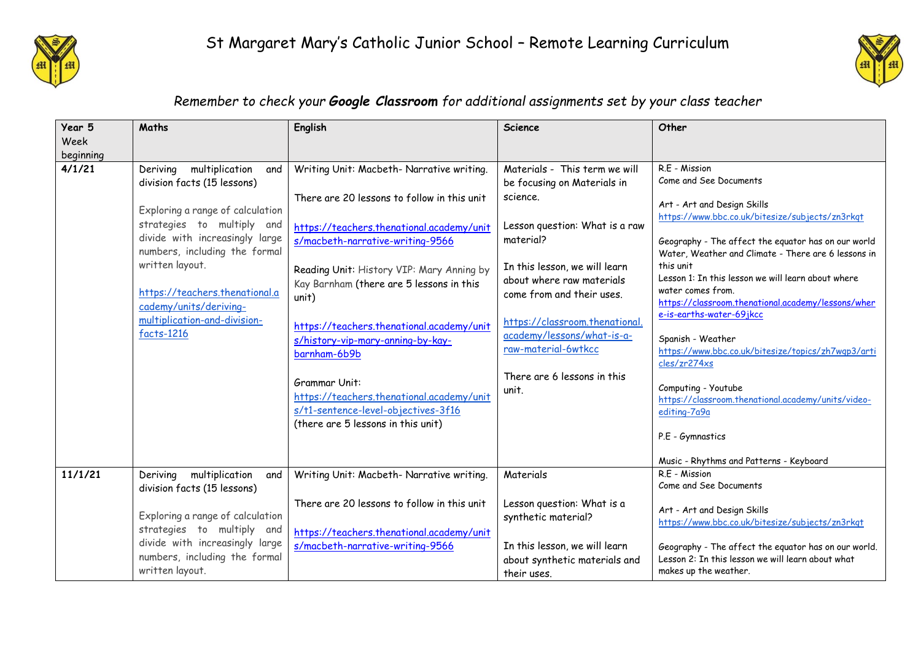



## *Remember to check your Google Classroom for additional assignments set by your class teacher*

| Year 5    | Maths                                                                                                                                                                                                                                                          | <b>English</b>                                                                                                                                                                                                                                                                                                                                                                                        | <b>Science</b>                                                                                                                                                                                                                                                                    | Other                                                                                                                                                                                                                                                                                                                                                                                                                                                                                                                                          |
|-----------|----------------------------------------------------------------------------------------------------------------------------------------------------------------------------------------------------------------------------------------------------------------|-------------------------------------------------------------------------------------------------------------------------------------------------------------------------------------------------------------------------------------------------------------------------------------------------------------------------------------------------------------------------------------------------------|-----------------------------------------------------------------------------------------------------------------------------------------------------------------------------------------------------------------------------------------------------------------------------------|------------------------------------------------------------------------------------------------------------------------------------------------------------------------------------------------------------------------------------------------------------------------------------------------------------------------------------------------------------------------------------------------------------------------------------------------------------------------------------------------------------------------------------------------|
| Week      |                                                                                                                                                                                                                                                                |                                                                                                                                                                                                                                                                                                                                                                                                       |                                                                                                                                                                                                                                                                                   |                                                                                                                                                                                                                                                                                                                                                                                                                                                                                                                                                |
| beginning |                                                                                                                                                                                                                                                                |                                                                                                                                                                                                                                                                                                                                                                                                       |                                                                                                                                                                                                                                                                                   |                                                                                                                                                                                                                                                                                                                                                                                                                                                                                                                                                |
| 4/1/21    | multiplication<br>Deriving<br>and                                                                                                                                                                                                                              | Writing Unit: Macbeth- Narrative writing.                                                                                                                                                                                                                                                                                                                                                             | Materials - This term we will                                                                                                                                                                                                                                                     | R.E - Mission                                                                                                                                                                                                                                                                                                                                                                                                                                                                                                                                  |
|           | division facts (15 lessons)                                                                                                                                                                                                                                    |                                                                                                                                                                                                                                                                                                                                                                                                       | be focusing on Materials in                                                                                                                                                                                                                                                       | Come and See Documents                                                                                                                                                                                                                                                                                                                                                                                                                                                                                                                         |
|           | Exploring a range of calculation<br>strategies to multiply and<br>divide with increasingly large<br>numbers, including the formal<br>written layout.<br>https://teachers.thenational.a<br>cademy/units/deriving-<br>multiplication-and-division-<br>facts-1216 | There are 20 lessons to follow in this unit<br>https://teachers.thenational.academy/unit<br>s/macbeth-narrative-writing-9566<br>Reading Unit: History VIP: Mary Anning by<br>Kay Barnham (there are 5 lessons in this<br>unit)<br>https://teachers.thenational.academy/unit<br>s/history-vip-mary-anning-by-kay-<br>barnham-6b9b<br><b>Grammar Unit:</b><br>https://teachers.thenational.academy/unit | science.<br>Lesson question: What is a raw<br>material?<br>In this lesson, we will learn<br>about where raw materials<br>come from and their uses.<br>https://classroom.thenational.<br>academy/lessons/what-is-a-<br>raw-material-6wtkcc<br>There are 6 lessons in this<br>unit. | Art - Art and Design Skills<br>https://www.bbc.co.uk/bitesize/subjects/zn3rkqt<br>Geography - The affect the equator has on our world<br>Water, Weather and Climate - There are 6 lessons in<br>this unit<br>Lesson 1: In this lesson we will learn about where<br>water comes from.<br>https://classroom.thenational.academy/lessons/wher<br>e-is-earths-water-69jkcc<br>Spanish - Weather<br>https://www.bbc.co.uk/bitesize/topics/zh7wqp3/arti<br>cles/zr274xs<br>Computing - Youtube<br>https://classroom.thenational.academy/units/video- |
|           |                                                                                                                                                                                                                                                                | s/t1-sentence-level-objectives-3f16<br>(there are 5 lessons in this unit)                                                                                                                                                                                                                                                                                                                             |                                                                                                                                                                                                                                                                                   | editing-7a9a<br>P.E - Gymnastics<br>Music - Rhythms and Patterns - Keyboard                                                                                                                                                                                                                                                                                                                                                                                                                                                                    |
| 11/1/21   | multiplication<br>Deriving<br>and                                                                                                                                                                                                                              | Writing Unit: Macbeth- Narrative writing.                                                                                                                                                                                                                                                                                                                                                             | Materials                                                                                                                                                                                                                                                                         | R.F - Mission                                                                                                                                                                                                                                                                                                                                                                                                                                                                                                                                  |
|           | division facts (15 lessons)                                                                                                                                                                                                                                    |                                                                                                                                                                                                                                                                                                                                                                                                       |                                                                                                                                                                                                                                                                                   | Come and See Documents                                                                                                                                                                                                                                                                                                                                                                                                                                                                                                                         |
|           | Exploring a range of calculation                                                                                                                                                                                                                               | There are 20 lessons to follow in this unit                                                                                                                                                                                                                                                                                                                                                           | Lesson question: What is a<br>synthetic material?                                                                                                                                                                                                                                 | Art - Art and Design Skills<br>https://www.bbc.co.uk/bitesize/subjects/zn3rkqt                                                                                                                                                                                                                                                                                                                                                                                                                                                                 |
|           | strategies to multiply and                                                                                                                                                                                                                                     | https://teachers.thenational.academy/unit                                                                                                                                                                                                                                                                                                                                                             |                                                                                                                                                                                                                                                                                   |                                                                                                                                                                                                                                                                                                                                                                                                                                                                                                                                                |
|           | divide with increasingly large<br>numbers, including the formal<br>written layout.                                                                                                                                                                             | s/macbeth-narrative-writing-9566                                                                                                                                                                                                                                                                                                                                                                      | In this lesson, we will learn<br>about synthetic materials and<br>their uses.                                                                                                                                                                                                     | Geography - The affect the equator has on our world.<br>Lesson 2: In this lesson we will learn about what<br>makes up the weather.                                                                                                                                                                                                                                                                                                                                                                                                             |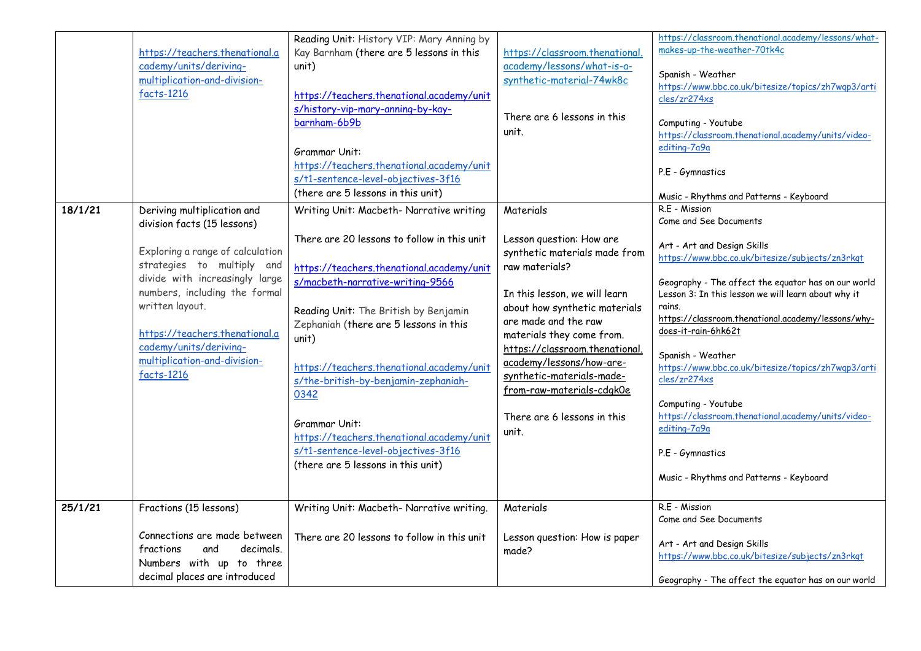|         | https://teachers.thenational.a<br>cademy/units/deriving-<br>multiplication-and-division-<br>facts-1216                                                                                                                                                                                                                       | Reading Unit: History VIP: Mary Anning by<br>Kay Barnham (there are 5 lessons in this<br>unit)<br>https://teachers.thenational.academy/unit<br>s/history-vip-mary-anning-by-kay-<br>barnham-6b9b<br>Grammar Unit:<br>https://teachers.thenational.academy/unit<br>s/t1-sentence-level-objectives-3f16<br>(there are 5 lessons in this unit)                                                                                                                                                                         | https://classroom.thenational.<br>academy/lessons/what-is-a-<br>synthetic-material-74wk8c<br>There are 6 lessons in this<br>unit.                                                                                                                                                                                                                                               | https://classroom.thenational.academy/lessons/what-<br>makes-up-the-weather-70tk4c<br>Spanish - Weather<br>https://www.bbc.co.uk/bitesize/topics/zh7wqp3/arti<br>cles/zr274xs<br>Computing - Youtube<br>https://classroom.thenational.academy/units/video-<br>editing-7a9a<br>P.E - Gymnastics<br>Music - Rhythms and Patterns - Keyboard                                                                                                                                                                                                                                             |
|---------|------------------------------------------------------------------------------------------------------------------------------------------------------------------------------------------------------------------------------------------------------------------------------------------------------------------------------|---------------------------------------------------------------------------------------------------------------------------------------------------------------------------------------------------------------------------------------------------------------------------------------------------------------------------------------------------------------------------------------------------------------------------------------------------------------------------------------------------------------------|---------------------------------------------------------------------------------------------------------------------------------------------------------------------------------------------------------------------------------------------------------------------------------------------------------------------------------------------------------------------------------|---------------------------------------------------------------------------------------------------------------------------------------------------------------------------------------------------------------------------------------------------------------------------------------------------------------------------------------------------------------------------------------------------------------------------------------------------------------------------------------------------------------------------------------------------------------------------------------|
| 18/1/21 | Deriving multiplication and<br>division facts (15 lessons)<br>Exploring a range of calculation<br>strategies to multiply and<br>divide with increasingly large<br>numbers, including the formal<br>written layout.<br>https://teachers.thenational.a<br>cademy/units/deriving-<br>multiplication-and-division-<br>facts-1216 | Writing Unit: Macbeth- Narrative writing<br>There are 20 lessons to follow in this unit<br>https://teachers.thenational.academy/unit<br>s/macbeth-narrative-writing-9566<br>Reading Unit: The British by Benjamin<br>Zephaniah (there are 5 lessons in this<br>unit)<br>https://teachers.thenational.academy/unit<br>s/the-british-by-benjamin-zephaniah-<br>0342<br><b>Grammar Unit:</b><br>https://teachers.thenational.academy/unit<br>s/t1-sentence-level-objectives-3f16<br>(there are 5 lessons in this unit) | Materials<br>Lesson question: How are<br>synthetic materials made from<br>raw materials?<br>In this lesson, we will learn<br>about how synthetic materials<br>are made and the raw<br>materials they come from.<br>https://classroom.thenational.<br>academy/lessons/how-are-<br>synthetic-materials-made-<br>from-raw-materials-cdgk0e<br>There are 6 lessons in this<br>unit. | R.E - Mission<br>Come and See Documents<br>Art - Art and Design Skills<br>https://www.bbc.co.uk/bitesize/subjects/zn3rkqt<br>Geography - The affect the equator has on our world<br>Lesson 3: In this lesson we will learn about why it<br>rains.<br>https://classroom.thenational.academy/lessons/why-<br>does-it-rain-6hk62t<br>Spanish - Weather<br>https://www.bbc.co.uk/bitesize/topics/zh7wqp3/arti<br>cles/zr274xs<br>Computing - Youtube<br>https://classroom.thenational.academy/units/video-<br>editing-7a9a<br>P.E - Gymnastics<br>Music - Rhythms and Patterns - Keyboard |
| 25/1/21 | Fractions (15 lessons)<br>Connections are made between<br>fractions<br>and<br>decimals.<br>Numbers with up to three<br>decimal places are introduced                                                                                                                                                                         | Writing Unit: Macbeth- Narrative writing.<br>There are 20 lessons to follow in this unit                                                                                                                                                                                                                                                                                                                                                                                                                            | Materials<br>Lesson question: How is paper<br>made?                                                                                                                                                                                                                                                                                                                             | R.E - Mission<br>Come and See Documents<br>Art - Art and Design Skills<br>https://www.bbc.co.uk/bitesize/subjects/zn3rkqt<br>Geography - The affect the equator has on our world                                                                                                                                                                                                                                                                                                                                                                                                      |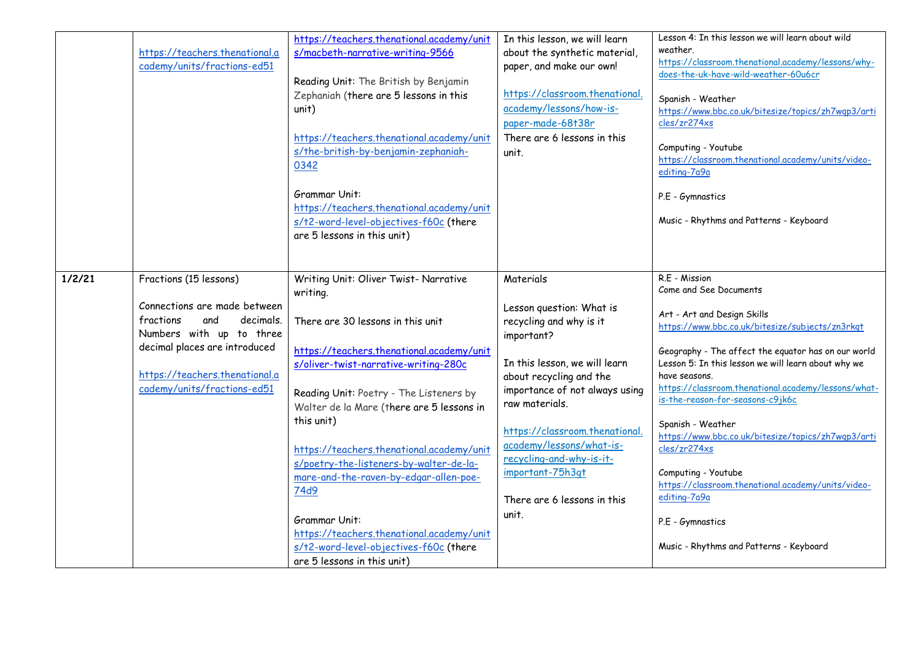|        |                                | https://teachers.thenational.academy/unit | In this lesson, we will learn  | Lesson 4: In this lesson we will learn about wild                              |
|--------|--------------------------------|-------------------------------------------|--------------------------------|--------------------------------------------------------------------------------|
|        | https://teachers.thenational.a | s/macbeth-narrative-writing-9566          | about the synthetic material,  | weather.                                                                       |
|        | cademy/units/fractions-ed51    |                                           | paper, and make our own!       | https://classroom.thenational.academy/lessons/why-                             |
|        |                                | Reading Unit: The British by Benjamin     |                                | does-the-uk-have-wild-weather-60u6cr                                           |
|        |                                | Zephaniah (there are 5 lessons in this    | https://classroom.thenational. | Spanish - Weather                                                              |
|        |                                | unit)                                     | academy/lessons/how-is-        | https://www.bbc.co.uk/bitesize/topics/zh7wqp3/arti                             |
|        |                                |                                           | paper-made-68t38r              | cles/zr274xs                                                                   |
|        |                                | https://teachers.thenational.academy/unit | There are 6 lessons in this    |                                                                                |
|        |                                | s/the-british-by-benjamin-zephaniah-      | unit.                          | Computing - Youtube                                                            |
|        |                                | 0342                                      |                                | https://classroom.thenational.academy/units/video-                             |
|        |                                |                                           |                                | editing-7a9a                                                                   |
|        |                                | <b>Grammar Unit:</b>                      |                                | P.E - Gymnastics                                                               |
|        |                                | https://teachers.thenational.academy/unit |                                |                                                                                |
|        |                                | s/t2-word-level-objectives-f60c (there    |                                | Music - Rhythms and Patterns - Keyboard                                        |
|        |                                | are 5 lessons in this unit)               |                                |                                                                                |
|        |                                |                                           |                                |                                                                                |
|        |                                |                                           |                                |                                                                                |
| 1/2/21 | Fractions (15 lessons)         | Writing Unit: Oliver Twist- Narrative     | Materials                      | R.E - Mission                                                                  |
|        |                                | writing.                                  |                                | Come and See Documents                                                         |
|        | Connections are made between   |                                           | Lesson question: What is       |                                                                                |
|        | fractions<br>decimals.<br>and  | There are 30 lessons in this unit         | recycling and why is it        | Art - Art and Design Skills<br>https://www.bbc.co.uk/bitesize/subjects/zn3rkqt |
|        | Numbers with up to three       |                                           | important?                     |                                                                                |
|        | decimal places are introduced  | https://teachers.thenational.academy/unit |                                | Geography - The affect the equator has on our world                            |
|        |                                | s/oliver-twist-narrative-writing-280c     | In this lesson, we will learn  | Lesson 5: In this lesson we will learn about why we                            |
|        | https://teachers.thenational.a |                                           | about recycling and the        | have seasons.                                                                  |
|        | cademy/units/fractions-ed51    | Reading Unit: Poetry - The Listeners by   | importance of not always using | https://classroom.thenational.academy/lessons/what-                            |
|        |                                | Walter de la Mare (there are 5 lessons in | raw materials.                 | is-the-reason-for-seasons-c9jk6c                                               |
|        |                                | this unit)                                |                                | Spanish - Weather                                                              |
|        |                                |                                           | https://classroom.thenational. | https://www.bbc.co.uk/bitesize/topics/zh7wqp3/arti                             |
|        |                                | https://teachers.thenational.academy/unit | academy/lessons/what-is-       | cles/zr274xs                                                                   |
|        |                                | s/poetry-the-listeners-by-walter-de-la-   | recycling-and-why-is-it-       |                                                                                |
|        |                                | mare-and-the-raven-by-edgar-allen-poe-    | important-75h3qt               | Computing - Youtube                                                            |
|        |                                | 74d9                                      |                                | https://classroom.thenational.academy/units/video-<br>editing-7a9a             |
|        |                                |                                           | There are 6 lessons in this    |                                                                                |
|        |                                | Grammar Unit:                             | unit.                          | P.E - Gymnastics                                                               |
|        |                                | https://teachers.thenational.academy/unit |                                |                                                                                |
|        |                                | s/t2-word-level-objectives-f60c (there    |                                | Music - Rhythms and Patterns - Keyboard                                        |
|        |                                | are 5 lessons in this unit)               |                                |                                                                                |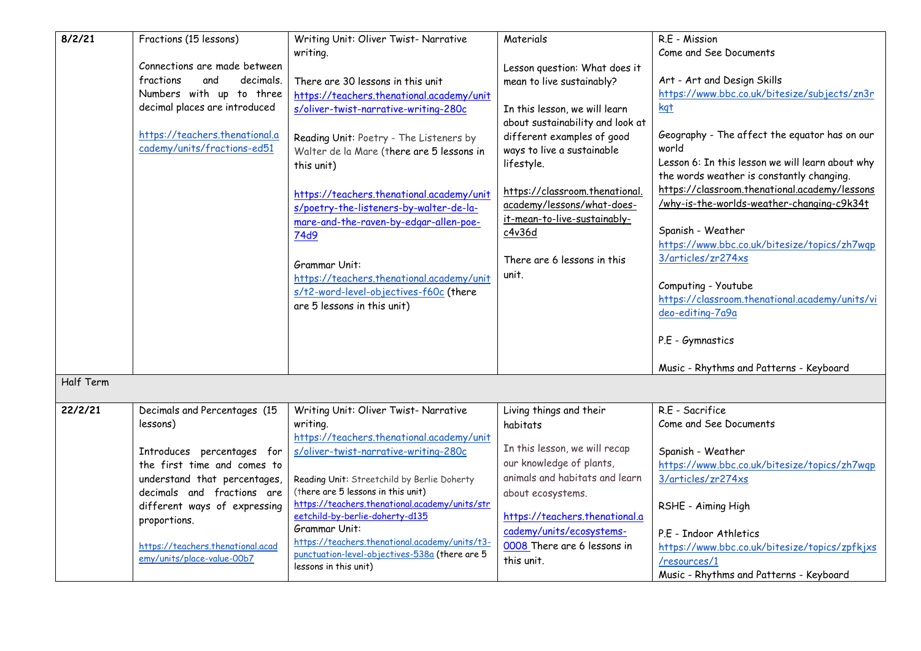| 8/2/21    | Fractions (15 lessons)                                          | Writing Unit: Oliver Twist- Narrative                                             | Materials                        | R.E - Mission                                                         |
|-----------|-----------------------------------------------------------------|-----------------------------------------------------------------------------------|----------------------------------|-----------------------------------------------------------------------|
|           |                                                                 | writing.                                                                          |                                  | Come and See Documents                                                |
|           | Connections are made between                                    |                                                                                   | Lesson question: What does it    |                                                                       |
|           | fractions<br>and<br>decimals.                                   | There are 30 lessons in this unit                                                 | mean to live sustainably?        | Art - Art and Design Skills                                           |
|           | Numbers with up to three                                        | https://teachers.thenational.academy/unit                                         |                                  | https://www.bbc.co.uk/bitesize/subjects/zn3r                          |
|           | decimal places are introduced                                   | s/oliver-twist-narrative-writing-280c                                             | In this lesson, we will learn    | kgt                                                                   |
|           |                                                                 |                                                                                   | about sustainability and look at |                                                                       |
|           | https://teachers.thenational.a                                  | Reading Unit: Poetry - The Listeners by                                           | different examples of good       | Geography - The affect the equator has on our                         |
|           | cademy/units/fractions-ed51                                     | Walter de la Mare (there are 5 lessons in                                         | ways to live a sustainable       | world                                                                 |
|           |                                                                 | this unit)                                                                        | lifestyle.                       | Lesson 6: In this lesson we will learn about why                      |
|           |                                                                 |                                                                                   |                                  | the words weather is constantly changing.                             |
|           |                                                                 | https://teachers.thenational.academy/unit                                         | https://classroom.thenational    | https://classroom.thenational.academy/lessons                         |
|           |                                                                 | s/poetry-the-listeners-by-walter-de-la-                                           | academy/lessons/what-does-       | /why-is-the-worlds-weather-changing-c9k34t                            |
|           |                                                                 | mare-and-the-raven-by-edgar-allen-poe-                                            | it-mean-to-live-sustainably-     |                                                                       |
|           |                                                                 | 74d9                                                                              | c4v36d                           | Spanish - Weather                                                     |
|           |                                                                 |                                                                                   |                                  | https://www.bbc.co.uk/bitesize/topics/zh7wqp                          |
|           |                                                                 | Grammar Unit:                                                                     | There are 6 lessons in this      | 3/articles/zr274xs                                                    |
|           |                                                                 | https://teachers.thenational.academy/unit                                         | unit.                            |                                                                       |
|           |                                                                 | s/t2-word-level-objectives-f60c (there                                            |                                  | Computing - Youtube<br>https://classroom.thenational.academy/units/vi |
|           |                                                                 | are 5 lessons in this unit)                                                       |                                  | deo-editing-7a9a                                                      |
|           |                                                                 |                                                                                   |                                  |                                                                       |
|           |                                                                 |                                                                                   |                                  | P.E - Gymnastics                                                      |
|           |                                                                 |                                                                                   |                                  |                                                                       |
|           |                                                                 |                                                                                   |                                  | Music - Rhythms and Patterns - Keyboard                               |
| Half Term |                                                                 |                                                                                   |                                  |                                                                       |
|           |                                                                 |                                                                                   |                                  |                                                                       |
| 22/2/21   | Decimals and Percentages (15                                    | Writing Unit: Oliver Twist- Narrative                                             | Living things and their          | R.E - Sacrifice                                                       |
|           | lessons)                                                        | writing.                                                                          | habitats                         | Come and See Documents                                                |
|           |                                                                 | https://teachers.thenational.academy/unit                                         |                                  |                                                                       |
|           | Introduces percentages for                                      | s/oliver-twist-narrative-writing-280c                                             | In this lesson, we will recap    | Spanish - Weather                                                     |
|           | the first time and comes to                                     |                                                                                   | our knowledge of plants,         | https://www.bbc.co.uk/bitesize/topics/zh7wqp                          |
|           | understand that percentages,                                    | Reading Unit: Streetchild by Berlie Doherty                                       | animals and habitats and learn   | 3/articles/zr274xs                                                    |
|           | decimals and fractions are                                      | (there are 5 lessons in this unit)                                                | about ecosystems.                |                                                                       |
|           | different ways of expressing                                    | https://teachers.thenational.academy/units/str<br>eetchild-by-berlie-doherty-d135 | https://teachers.thenational.a   | RSHE - Aiming High                                                    |
|           | proportions.                                                    | Grammar Unit:                                                                     | cademy/units/ecosystems-         |                                                                       |
|           |                                                                 | https://teachers.thenational.academy/units/t3-                                    |                                  | P.E - Indoor Athletics                                                |
|           | https://teachers.thenational.acad<br>emy/units/place-value-00b7 | punctuation-level-objectives-538a (there are 5                                    | 0008 There are 6 lessons in      | https://www.bbc.co.uk/bitesize/topics/zpfkjxs                         |
|           |                                                                 | lessons in this unit)                                                             | this unit.                       | /resources/1                                                          |
|           |                                                                 |                                                                                   |                                  | Music - Rhythms and Patterns - Keyboard                               |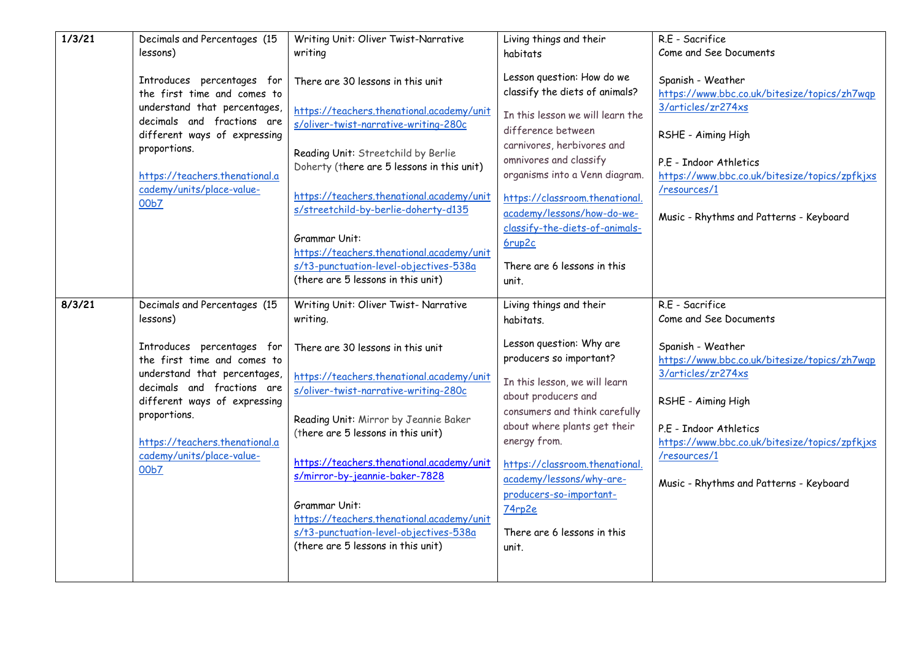| 1/3/21 | Decimals and Percentages (15                                                                                                                                                                                                                                                               | Writing Unit: Oliver Twist-Narrative                                                                                                                                                                                                                                                                                                                                                                                                                                                     | Living things and their                                                                                                                                                                                                                                                                                                                                                         | R.E - Sacrifice                                                                                                                                                                                                                                                                                  |
|--------|--------------------------------------------------------------------------------------------------------------------------------------------------------------------------------------------------------------------------------------------------------------------------------------------|------------------------------------------------------------------------------------------------------------------------------------------------------------------------------------------------------------------------------------------------------------------------------------------------------------------------------------------------------------------------------------------------------------------------------------------------------------------------------------------|---------------------------------------------------------------------------------------------------------------------------------------------------------------------------------------------------------------------------------------------------------------------------------------------------------------------------------------------------------------------------------|--------------------------------------------------------------------------------------------------------------------------------------------------------------------------------------------------------------------------------------------------------------------------------------------------|
|        | lessons)                                                                                                                                                                                                                                                                                   | writing                                                                                                                                                                                                                                                                                                                                                                                                                                                                                  | habitats                                                                                                                                                                                                                                                                                                                                                                        | Come and See Documents                                                                                                                                                                                                                                                                           |
|        | Introduces percentages for<br>the first time and comes to<br>understand that percentages,<br>decimals and fractions are<br>different ways of expressing<br>proportions.<br>https://teachers.thenational.a<br>cademy/units/place-value-<br>00b7                                             | There are 30 lessons in this unit<br>https://teachers.thenational.academy/unit<br>s/oliver-twist-narrative-writing-280c<br>Reading Unit: Streetchild by Berlie<br>Doherty (there are 5 lessons in this unit)<br>https://teachers.thenational.academy/unit<br>s/streetchild-by-berlie-doherty-d135<br><b>Grammar Unit:</b><br>https://teachers.thenational.academy/unit<br>s/t3-punctuation-level-objectives-538a<br>(there are 5 lessons in this unit)                                   | Lesson question: How do we<br>classify the diets of animals?<br>In this lesson we will learn the<br>difference between<br>carnivores, herbivores and<br>omnivores and classify<br>organisms into a Venn diagram.<br>https://classroom.thenational.<br>academy/lessons/how-do-we-<br>classify-the-diets-of-animals-<br>6rup2c<br>There are 6 lessons in this<br>unit.            | Spanish - Weather<br>https://www.bbc.co.uk/bitesize/topics/zh7wqp<br>3/articles/zr274xs<br>RSHE - Aiming High<br>P.E - Indoor Athletics<br>https://www.bbc.co.uk/bitesize/topics/zpfkjxs<br>/resources/1<br>Music - Rhythms and Patterns - Keyboard                                              |
| 8/3/21 | Decimals and Percentages (15<br>lessons)<br>Introduces percentages for<br>the first time and comes to<br>understand that percentages,<br>decimals and fractions are<br>different ways of expressing<br>proportions.<br>https://teachers.thenational.a<br>cademy/units/place-value-<br>00b7 | Writing Unit: Oliver Twist- Narrative<br>writing.<br>There are 30 lessons in this unit<br>https://teachers.thenational.academy/unit<br>s/oliver-twist-narrative-writing-280c<br>Reading Unit: Mirror by Jeannie Baker<br>(there are 5 lessons in this unit)<br>https://teachers.thenational.academy/unit<br>s/mirror-by-jeannie-baker-7828<br>Grammar Unit:<br>https://teachers.thenational.academy/unit<br>s/t3-punctuation-level-objectives-538a<br>(there are 5 lessons in this unit) | Living things and their<br>habitats.<br>Lesson question: Why are<br>producers so important?<br>In this lesson, we will learn<br>about producers and<br>consumers and think carefully<br>about where plants get their<br>energy from.<br>https://classroom.thenational.<br>academy/lessons/why-are-<br>producers-so-important-<br>74rp2e<br>There are 6 lessons in this<br>unit. | R.E - Sacrifice<br>Come and See Documents<br>Spanish - Weather<br>https://www.bbc.co.uk/bitesize/topics/zh7wqp<br>3/articles/zr274xs<br>RSHE - Aiming High<br>P.E - Indoor Athletics<br>https://www.bbc.co.uk/bitesize/topics/zpfkjxs<br>/resources/1<br>Music - Rhythms and Patterns - Keyboard |